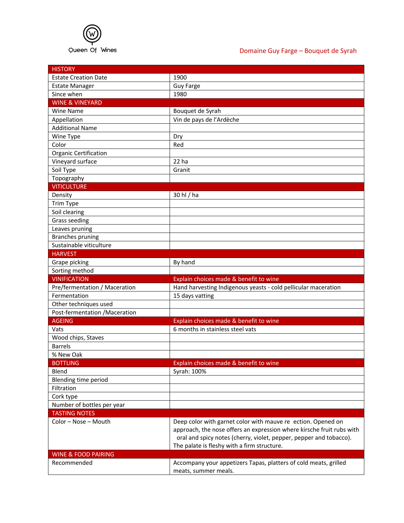

## Domaine Guy Farge – Bouquet de Syrah

| <b>HISTORY</b>                 |                                                                                          |
|--------------------------------|------------------------------------------------------------------------------------------|
| <b>Estate Creation Date</b>    | 1900                                                                                     |
| <b>Estate Manager</b>          | <b>Guy Farge</b>                                                                         |
| Since when                     | 1980                                                                                     |
| <b>WINE &amp; VINEYARD</b>     |                                                                                          |
| <b>Wine Name</b>               | Bouquet de Syrah                                                                         |
| Appellation                    | Vin de pays de l'Ardèche                                                                 |
| <b>Additional Name</b>         |                                                                                          |
| Wine Type                      | Dry                                                                                      |
| Color                          | Red                                                                                      |
| Organic Certification          |                                                                                          |
| Vineyard surface               | 22 ha                                                                                    |
| Soil Type                      | Granit                                                                                   |
| Topography                     |                                                                                          |
| <b>VITICULTURE</b>             |                                                                                          |
| Density                        | 30 hl / ha                                                                               |
| Trim Type                      |                                                                                          |
| Soil clearing                  |                                                                                          |
| <b>Grass seeding</b>           |                                                                                          |
| Leaves pruning                 |                                                                                          |
| <b>Branches pruning</b>        |                                                                                          |
| Sustainable viticulture        |                                                                                          |
| <b>HARVEST</b>                 |                                                                                          |
| Grape picking                  | By hand                                                                                  |
| Sorting method                 |                                                                                          |
| <b>VINIFICATION</b>            | Explain choices made & benefit to wine                                                   |
| Pre/fermentation / Maceration  | Hand harvesting Indigenous yeasts - cold pellicular maceration                           |
| Fermentation                   | 15 days vatting                                                                          |
| Other techniques used          |                                                                                          |
| Post-fermentation /Maceration  |                                                                                          |
| <b>AGEING</b>                  | Explain choices made & benefit to wine                                                   |
| Vats                           | 6 months in stainless steel vats                                                         |
| Wood chips, Staves             |                                                                                          |
| <b>Barrels</b>                 |                                                                                          |
| % New Oak                      |                                                                                          |
| <b>BOTTLING</b>                | Explain choices made & benefit to wine                                                   |
| Blend                          | Syrah: 100%                                                                              |
| Blending time period           |                                                                                          |
| Filtration                     |                                                                                          |
| Cork type                      |                                                                                          |
| Number of bottles per year     |                                                                                          |
| <b>TASTING NOTES</b>           |                                                                                          |
| Color - Nose - Mouth           | Deep color with garnet color with mauve re ection. Opened on                             |
|                                | approach, the nose offers an expression where kirsche fruit rubs with                    |
|                                | oral and spicy notes (cherry, violet, pepper, pepper and tobacco).                       |
|                                | The palate is fleshy with a firm structure.                                              |
|                                |                                                                                          |
|                                |                                                                                          |
| <b>WINE &amp; FOOD PAIRING</b> |                                                                                          |
| Recommended                    | Accompany your appetizers Tapas, platters of cold meats, grilled<br>meats, summer meals. |